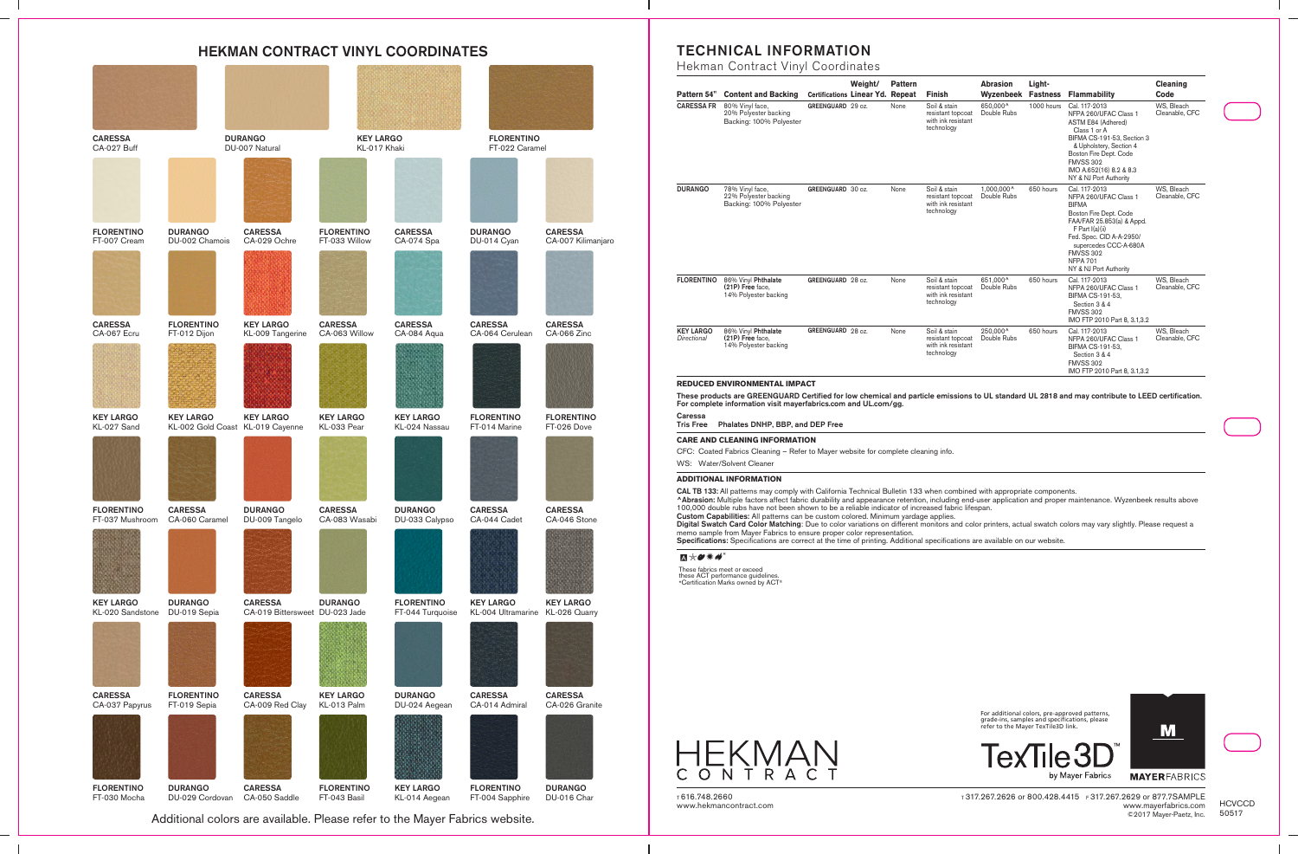## HEKMAN CONTRACT VINYL COORDINATES



Additional colors are available. Please refer to the Mayer Fabrics website.